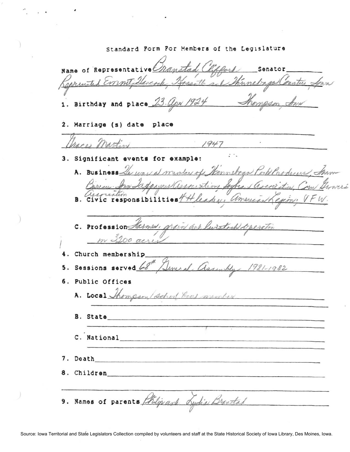Standard Form For Members of the Legislature Name of Representative Senator arcock Hossett and Thunchaps Counties Sown Kappenited Emmit 1. Birthday and place 23. apr 1924 Thompson 2. Marriage (s) date place Trace Martin  $1947$ 3. Significant events for example: A. Business le was a mentor of Kanneboas Port Producer, to no Sappagers association Syles , associ. rantion Alexi american Lexin, VFW vic responsibilities $\sqrt[6]{}$ В. C. Profession Harmer, grain are luistrik operation m 3200 acres 4. Church membership Several assembly 1981-1982 5. Sessions served 68 6. Public Offices A. Local Shompson/school feel member B. State C. National 7. Death 8. Children 9. Names of parents thilip and Lydia Brantal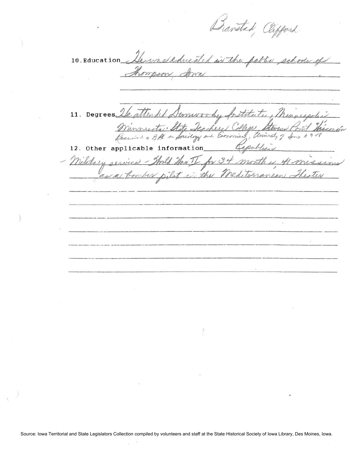Banstad, Clifford

10. Education Herrysleducated in the pollic schools of Arra ason, 11. Degrees le at univor by fretitute, Minniegole. ended. Minnusta, State Jeach Stevens Point Thise Jeachers College, Economics, University of Jons 1948 Cepublic 12. Other applicable information Shold Hav I for 34 month Military respice 1) Hmisse in the Mediterranean Theater pilot ------------- ----------------------- ----- -------------